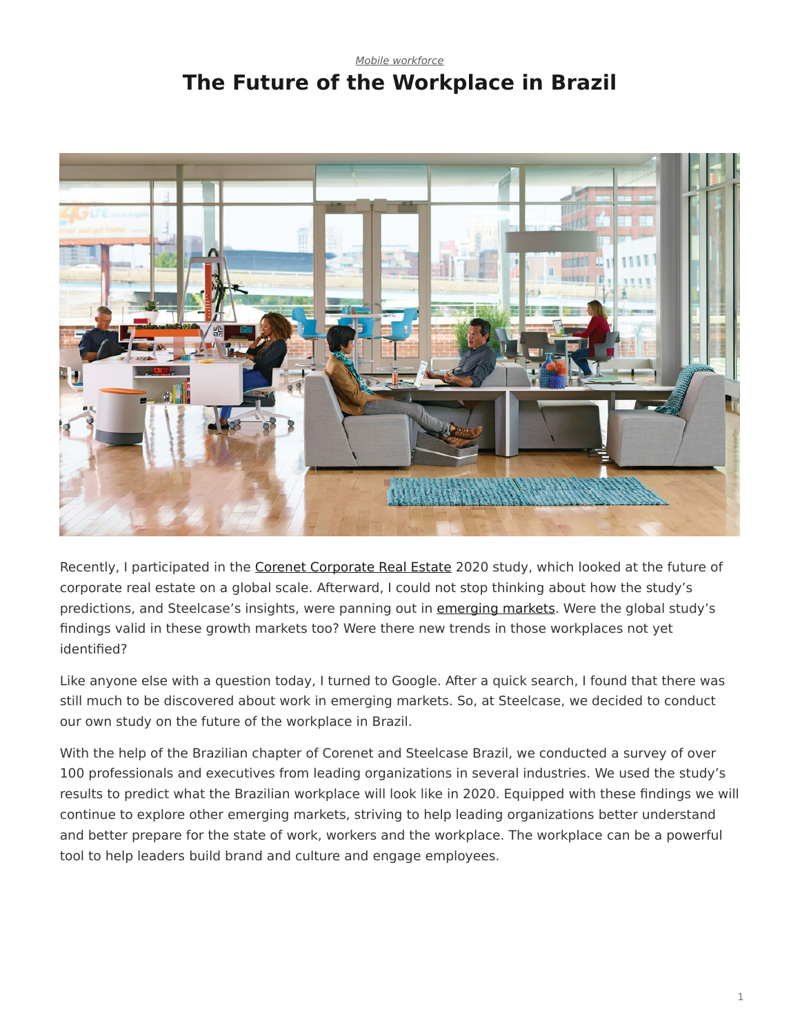## <span id="page-0-0"></span>*[Mobile workforce](https://www.steelcase.com/research/topics/mobile-workforce/)* **The Future of the Workplace in Brazil**



Recently, I participated in the [Corenet Corporate Real Estate](http://www.corenetglobal.org/Publications/content.cfm?ItemNumber=15836) 2020 study, which looked at the future of corporate real estate on a global scale. Afterward, I could not stop thinking about how the study's predictions, and Steelcase's insights, were panning out in [emerging markets](https://www.steelcase.com/insights/articles/the-growth-dilemma/). Were the global study's findings valid in these growth markets too? Were there new trends in those workplaces not yet identified?

Like anyone else with a question today, I turned to Google. After a quick search, I found that there was still much to be discovered about work in emerging markets. So, at Steelcase, we decided to conduct our own study on the future of the workplace in Brazil.

With the help of the Brazilian chapter of Corenet and Steelcase Brazil, we conducted a survey of over 100 professionals and executives from leading organizations in several industries. We used the study's results to predict what the Brazilian workplace will look like in 2020. Equipped with these findings we will continue to explore other emerging markets, striving to help leading organizations better understand and better prepare for the state of work, workers and the workplace. The workplace can be a powerful tool to help leaders build brand and culture and engage employees.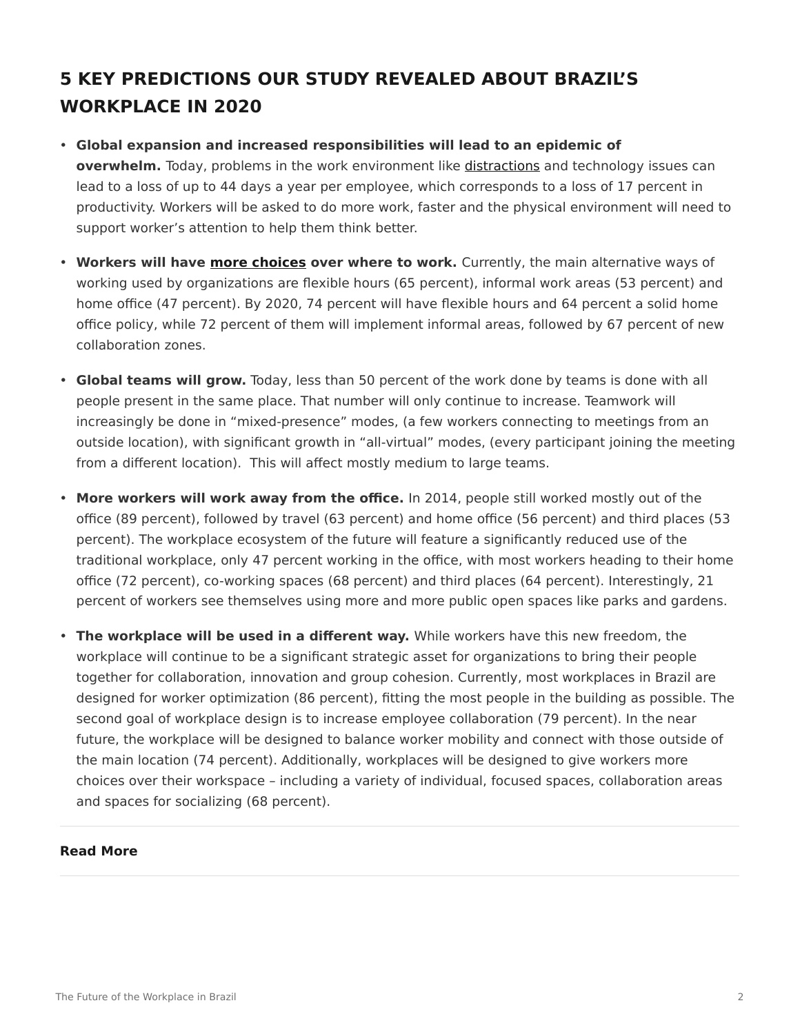## **5 KEY PREDICTIONS OUR STUDY REVEALED ABOUT BRAZIL'S WORKPLACE IN 2020**

- **Global expansion and increased responsibilities will lead to an epidemic of overwhelm.** Today, problems in the work environment like [distractions](https://www.steelcase.com/insights/articles/designing-for-distraction/) and technology issues can lead to a loss of up to 44 days a year per employee, which corresponds to a loss of 17 percent in productivity. Workers will be asked to do more work, faster and the physical environment will need to support worker's attention to help them think better.
- **Workers will have [more choices](https://www.steelcase.com/insights/articles/six-dimensions-of-wellbeing-in-the-workplace/) over where to work.** Currently, the main alternative ways of working used by organizations are flexible hours (65 percent), informal work areas (53 percent) and home office (47 percent). By 2020, 74 percent will have flexible hours and 64 percent a solid home office policy, while 72 percent of them will implement informal areas, followed by 67 percent of new collaboration zones.
- **Global teams will grow.** Today, less than 50 percent of the work done by teams is done with all people present in the same place. That number will only continue to increase. Teamwork will increasingly be done in "mixed-presence" modes, (a few workers connecting to meetings from an outside location), with significant growth in "all-virtual" modes, (every participant joining the meeting from a different location). This will affect mostly medium to large teams.
- **More workers will work away from the office.** In 2014, people still worked mostly out of the office (89 percent), followed by travel (63 percent) and home office (56 percent) and third places (53 percent). The workplace ecosystem of the future will feature a significantly reduced use of the traditional workplace, only 47 percent working in the office, with most workers heading to their home office (72 percent), co-working spaces (68 percent) and third places (64 percent). Interestingly, 21 percent of workers see themselves using more and more public open spaces like parks and gardens.
- **The workplace will be used in a different way.** While workers have this new freedom, the workplace will continue to be a significant strategic asset for organizations to bring their people together for collaboration, innovation and group cohesion. Currently, most workplaces in Brazil are designed for worker optimization (86 percent), fitting the most people in the building as possible. The second goal of workplace design is to increase employee collaboration (79 percent). In the near future, the workplace will be designed to balance worker mobility and connect with those outside of the main location (74 percent). Additionally, workplaces will be designed to give workers more choices over their workspace – including a variety of individual, focused spaces, collaboration areas and spaces for socializing (68 percent).

## **Read More**